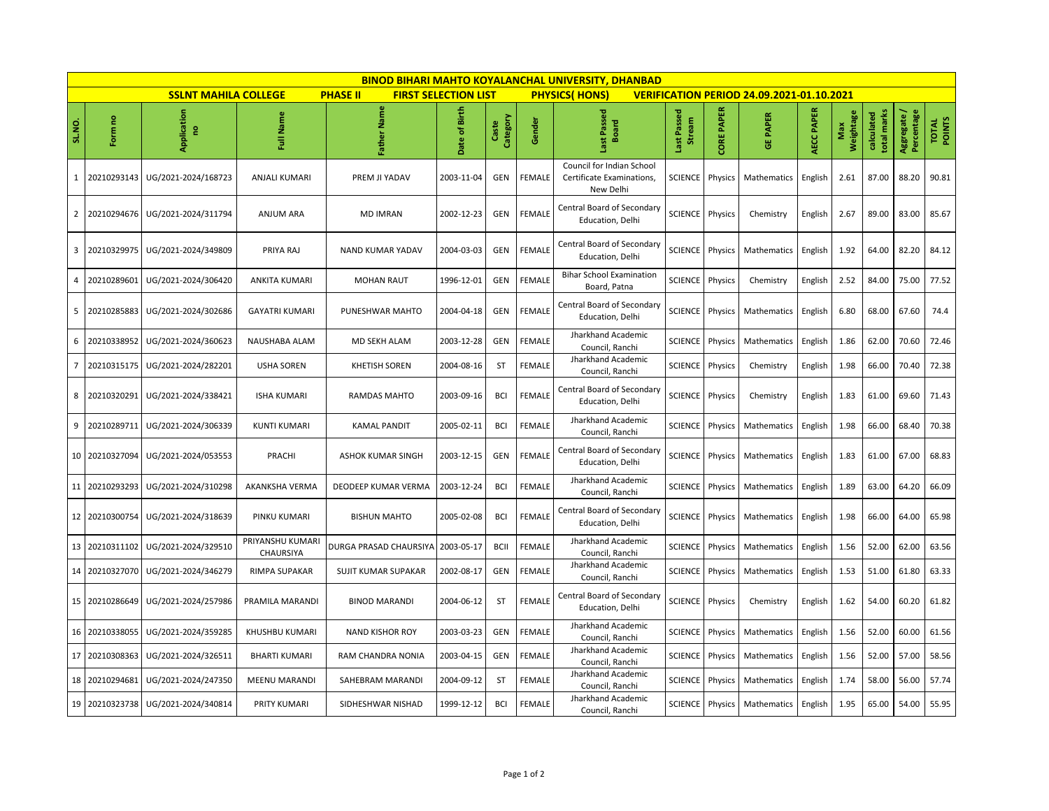| <b>BINOD BIHARI MAHTO KOYALANCHAL UNIVERSITY, DHANBAD</b> |                                                                                                                                                           |                     |                                      |                            |               |                   |               |                                                                     |                       |                   |                 |            |                  |                           |                         |                 |
|-----------------------------------------------------------|-----------------------------------------------------------------------------------------------------------------------------------------------------------|---------------------|--------------------------------------|----------------------------|---------------|-------------------|---------------|---------------------------------------------------------------------|-----------------------|-------------------|-----------------|------------|------------------|---------------------------|-------------------------|-----------------|
|                                                           | <b>SSLNT MAHILA COLLEGE</b><br><b>PHASE II</b><br><b>FIRST SELECTION LIST</b><br><b>PHYSICS(HONS)</b><br><b>VERIFICATION PERIOD 24.09.2021-01.10.2021</b> |                     |                                      |                            |               |                   |               |                                                                     |                       |                   |                 |            |                  |                           |                         |                 |
| SL.NO.                                                    | Form no                                                                                                                                                   | Application<br>g    | Full Name                            | <b>Father Name</b>         | Date of Birth | Category<br>Caste | Gender        | Last Passed<br><b>Board</b>                                         | Last Passed<br>Stream | <b>CORE PAPER</b> | <b>GE PAPER</b> | AECC PAPER | Weightage<br>Max | total marks<br>calculated | Aggregate<br>Percentage | TOTAL<br>POINTS |
| $\mathbf{1}$                                              | 20210293143                                                                                                                                               | UG/2021-2024/168723 | ANJALI KUMARI                        | PREM JI YADAV              | 2003-11-04    | GEN               | FEMALE        | Council for Indian School<br>Certificate Examinations,<br>New Delhi | <b>SCIENCE</b>        | Physics           | Mathematics     | English    | 2.61             | 87.00                     | 88.20                   | 90.81           |
| $\overline{2}$                                            | 20210294676                                                                                                                                               | UG/2021-2024/311794 | <b>ANJUM ARA</b>                     | <b>MD IMRAN</b>            | 2002-12-23    | <b>GEN</b>        | FEMALE        | Central Board of Secondary<br>Education, Delhi                      | <b>SCIENCE</b>        | Physics           | Chemistry       | English    | 2.67             | 89.00                     | 83.00                   | 85.67           |
| 3                                                         | 20210329975                                                                                                                                               | UG/2021-2024/349809 | PRIYA RAJ                            | <b>NAND KUMAR YADAV</b>    | 2004-03-03    | GEN               | <b>FEMALE</b> | Central Board of Secondary<br>Education, Delhi                      | <b>SCIENCE</b>        | Physics           | Mathematics     | English    | 1.92             | 64.00                     | 82.20                   | 84.12           |
| 4                                                         | 20210289601                                                                                                                                               | UG/2021-2024/306420 | <b>ANKITA KUMARI</b>                 | <b>MOHAN RAUT</b>          | 1996-12-01    | <b>GEN</b>        | <b>FEMALE</b> | <b>Bihar School Examination</b><br>Board, Patna                     | <b>SCIENCE</b>        | Physics           | Chemistry       | English    | 2.52             | 84.00                     | 75.00                   | 77.52           |
| 5                                                         | 20210285883                                                                                                                                               | UG/2021-2024/302686 | <b>GAYATRI KUMARI</b>                | PUNESHWAR MAHTO            | 2004-04-18    | GEN               | <b>FEMALE</b> | Central Board of Secondary<br>Education, Delhi                      | <b>SCIENCE</b>        | Physics           | Mathematics     | English    | 6.80             | 68.00                     | 67.60                   | 74.4            |
| 6                                                         | 20210338952                                                                                                                                               | UG/2021-2024/360623 | NAUSHABA ALAM                        | <b>MD SEKH ALAM</b>        | 2003-12-28    | GEN               | <b>FEMALE</b> | Jharkhand Academic<br>Council, Ranchi                               | <b>SCIENCE</b>        | Physics           | Mathematics     | English    | 1.86             | 62.00                     | 70.60                   | 72.46           |
| 7                                                         | 20210315175                                                                                                                                               | UG/2021-2024/282201 | <b>USHA SOREN</b>                    | <b>KHETISH SOREN</b>       | 2004-08-16    | ST                | <b>FEMALE</b> | Jharkhand Academic<br>Council, Ranchi                               | <b>SCIENCE</b>        | Physics           | Chemistry       | English    | 1.98             | 66.00                     | 70.40                   | 72.38           |
| 8                                                         | 20210320291                                                                                                                                               | UG/2021-2024/338421 | <b>ISHA KUMARI</b>                   | RAMDAS MAHTO               | 2003-09-16    | <b>BCI</b>        | FEMALE        | Central Board of Secondary<br>Education, Delhi                      | SCIENCE               | <b>Physics</b>    | Chemistry       | English    | 1.83             | 61.00                     | 69.60                   | 71.43           |
| 9                                                         | 20210289711                                                                                                                                               | UG/2021-2024/306339 | KUNTI KUMARI                         | <b>KAMAL PANDIT</b>        | 2005-02-11    | <b>BCI</b>        | <b>FEMALE</b> | Jharkhand Academic<br>Council, Ranchi                               | <b>SCIENCE</b>        | Physics           | Mathematics     | English    | 1.98             | 66.00                     | 68.40                   | 70.38           |
|                                                           | 10 20210327094                                                                                                                                            | UG/2021-2024/053553 | PRACHI                               | ASHOK KUMAR SINGH          | 2003-12-15    | GEN               | <b>FEMALE</b> | Central Board of Secondary<br>Education, Delhi                      | <b>SCIENCE</b>        | Physics           | Mathematics     | English    | 1.83             | 61.00                     | 67.00                   | 68.83           |
| 11                                                        | 20210293293                                                                                                                                               | UG/2021-2024/310298 | AKANKSHA VERMA                       | DEODEEP KUMAR VERMA        | 2003-12-24    | <b>BCI</b>        | FEMALE        | Jharkhand Academic<br>Council, Ranchi                               | <b>SCIENCE</b>        | Physics           | Mathematics     | English    | 1.89             | 63.00                     | 64.20                   | 66.09           |
|                                                           | 12 20210300754                                                                                                                                            | UG/2021-2024/318639 | <b>PINKU KUMARI</b>                  | <b>BISHUN MAHTO</b>        | 2005-02-08    | <b>BCI</b>        | <b>FEMALE</b> | Central Board of Secondary<br>Education, Delhi                      | SCIENCE               | Physics           | Mathematics     | English    | 1.98             | 66.00                     | 64.00                   | 65.98           |
| 13                                                        | 20210311102                                                                                                                                               | UG/2021-2024/329510 | PRIYANSHU KUMARI<br><b>CHAURSIYA</b> | DURGA PRASAD CHAURSIYA     | 2003-05-17    | <b>BCII</b>       | <b>FEMALE</b> | Jharkhand Academic<br>Council, Ranchi                               | <b>SCIENCE</b>        | Physics           | Mathematics     | English    | 1.56             | 52.00                     | 62.00                   | 63.56           |
| 14                                                        | 20210327070                                                                                                                                               | UG/2021-2024/346279 | <b>RIMPA SUPAKAR</b>                 | <b>SUJIT KUMAR SUPAKAR</b> | 2002-08-17    | <b>GEN</b>        | <b>FEMALE</b> | Jharkhand Academic<br>Council. Ranchi                               | <b>SCIENCE</b>        | Physics           | Mathematics     | English    | 1.53             | 51.00                     | 61.80                   | 63.33           |
| 15                                                        | 20210286649                                                                                                                                               | UG/2021-2024/257986 | PRAMILA MARANDI                      | <b>BINOD MARANDI</b>       | 2004-06-12    | <b>ST</b>         | <b>FEMALE</b> | Central Board of Secondary<br>Education, Delhi                      | <b>SCIENCE</b>        | Physics           | Chemistry       | English    | 1.62             | 54.00                     | 60.20                   | 61.82           |
| 16                                                        | 20210338055                                                                                                                                               | UG/2021-2024/359285 | KHUSHBU KUMARI                       | <b>NAND KISHOR ROY</b>     | 2003-03-23    | <b>GEN</b>        | <b>FEMALE</b> | Jharkhand Academic<br>Council, Ranchi                               | <b>SCIENCE</b>        | Physics           | Mathematics     | English    | 1.56             | 52.00                     | 60.00                   | 61.56           |
| 17                                                        | 20210308363                                                                                                                                               | UG/2021-2024/326511 | <b>BHARTI KUMARI</b>                 | RAM CHANDRA NONIA          | 2003-04-15    | <b>GEN</b>        | <b>FEMALE</b> | Jharkhand Academic<br>Council, Ranchi                               | <b>SCIENCE</b>        | Physics           | Mathematics     | English    | 1.56             | 52.00                     | 57.00                   | 58.56           |
| 18                                                        | 20210294681                                                                                                                                               | UG/2021-2024/247350 | <b>MEENU MARANDI</b>                 | SAHEBRAM MARANDI           | 2004-09-12    | <b>ST</b>         | FEMALE        | Jharkhand Academic<br>Council, Ranchi                               | <b>SCIENCE</b>        | Physics           | Mathematics     | English    | 1.74             | 58.00                     | 56.00                   | 57.74           |
| 19                                                        | 20210323738                                                                                                                                               | UG/2021-2024/340814 | PRITY KUMARI                         | SIDHESHWAR NISHAD          | 1999-12-12    | <b>BCI</b>        | <b>FEMALE</b> | Jharkhand Academic<br>Council, Ranchi                               | <b>SCIENCE</b>        | Physics           | Mathematics     | English    | 1.95             | 65.00                     | 54.00                   | 55.95           |